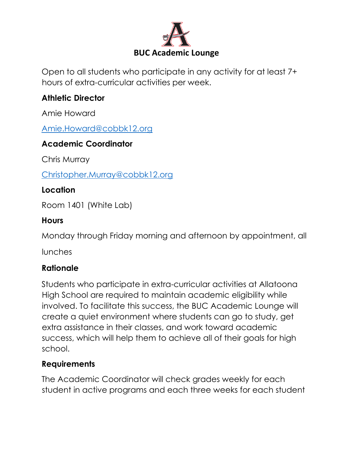

Open to all students who participate in any activity for at least 7+ hours of extra-curricular activities per week.

### **Athletic Director**

Amie Howard

[Amie.Howard@cobbk12.org](mailto:Amie.Howard@cobbk12.org)

## **Academic Coordinator**

Chris Murray

[Christopher.Murray@cobbk12.org](mailto:Christopher.Murray@cobbk12.org)

## **Location**

Room 1401 (White Lab)

#### **Hours**

Monday through Friday morning and afternoon by appointment, all

lunches

## **Rationale**

Students who participate in extra-curricular activities at Allatoona High School are required to maintain academic eligibility while involved. To facilitate this success, the BUC Academic Lounge will create a quiet environment where students can go to study, get extra assistance in their classes, and work toward academic success, which will help them to achieve all of their goals for high school.

#### **Requirements**

The Academic Coordinator will check grades weekly for each student in active programs and each three weeks for each student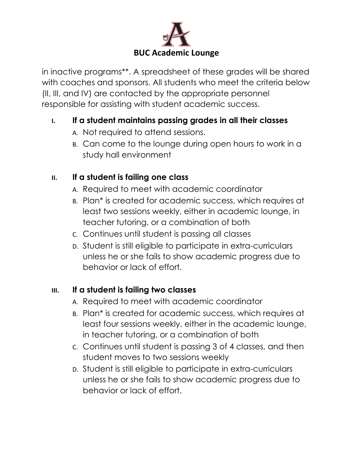

in inactive programs\*\*. A spreadsheet of these grades will be shared with coaches and sponsors. All students who meet the criteria below (II, III, and IV) are contacted by the appropriate personnel responsible for assisting with student academic success.

## **I. If a student maintains passing grades in all their classes**

- A. Not required to attend sessions.
- B. Can come to the lounge during open hours to work in a study hall environment

# **II. If a student is failing one class**

- A. Required to meet with academic coordinator
- B. Plan\* is created for academic success, which requires at least two sessions weekly, either in academic lounge, in teacher tutoring, or a combination of both
- C. Continues until student is passing all classes
- D. Student is still eligible to participate in extra-curriculars unless he or she fails to show academic progress due to behavior or lack of effort.

## **III. If a student is failing two classes**

- A. Required to meet with academic coordinator
- B. Plan\* is created for academic success, which requires at least four sessions weekly, either in the academic lounge, in teacher tutoring, or a combination of both
- C. Continues until student is passing 3 of 4 classes, and then student moves to two sessions weekly
- D. Student is still eligible to participate in extra-curriculars unless he or she fails to show academic progress due to behavior or lack of effort.